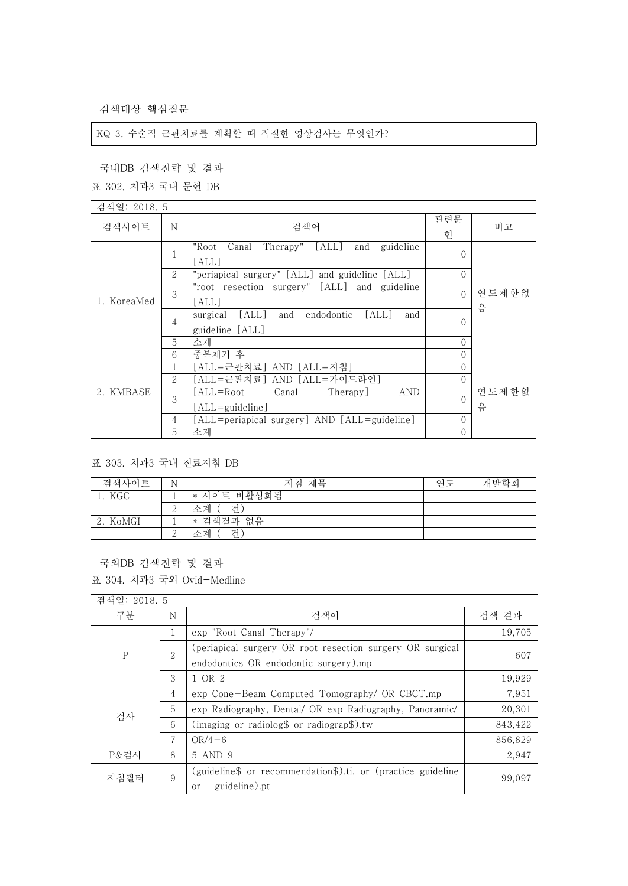검색대상 핵심질문

### KQ 3. 수술적 근관치료를 계획할 때 적절한 영상검사는 무엇인가?

국내DB 검색전략 및 결과

표 302. 치과3 국내 문헌 DB

| 검색일: 2018. 5 |        |                                                        |                |       |
|--------------|--------|--------------------------------------------------------|----------------|-------|
| 검색사이트        | N      | 검색어                                                    | 관련문            | 비고    |
|              |        |                                                        | 헌              |       |
|              |        | Therapy" [ALL]<br>"Root<br>Canal<br>guideline<br>and   | $\Omega$       |       |
|              |        | [all]                                                  |                |       |
|              | 2      | "periapical surgery" [ALL] and guideline [ALL]         | $\theta$       |       |
|              |        | "root resection surgery" [ALL] and guideline           |                | 연도제한없 |
| 1. KoreaMed  | 3      | [ALL]                                                  | $\Omega$       |       |
|              | 4<br>5 | [ALL]<br>[ALL]<br>and<br>endodontic<br>surgical<br>and |                | 음     |
|              |        | guideline [ALL]                                        | $\mathbf{0}$   |       |
|              |        | 소계                                                     | $\theta$       |       |
|              | 6      | 중복제거 후                                                 | $\theta$       |       |
|              |        | [ALL=근관치료] AND [ALL=지침]                                | $\Omega$       |       |
|              |        |                                                        |                |       |
| 2. KMBASE    | 2      | [ALL=근관치료] AND [ALL=가이드라인]                             | $\overline{0}$ |       |
|              | 3      | AND<br>[ALL=Root]<br>Therapy]<br>Canal                 | $\Omega$       | 연도제한없 |
|              |        | $[ALL = \{quideline\}]$                                |                | 음     |
|              | 4      | [ALL=periapical surgery] AND [ALL=guideline]           | $\theta$       |       |
|              | 5      | 소계                                                     | $\theta$       |       |

표 303. 치과3 국내 진료지침 DB

| 검색사이트    | N             | 지침 제목         | 연도 | 개발학회 |
|----------|---------------|---------------|----|------|
| 1. KGC   |               | * 사이트 비활성화됨   |    |      |
|          | $\Omega$<br>↵ | 소계 (<br>- 건 ) |    |      |
| 2. KoMGI |               | * 검색결과 없음     |    |      |
|          | $\Omega$<br>↵ | 수계<br>건)      |    |      |

### 국외DB 검색전략 및 결과

표 304. 치과3 국외 Ovid-Medline

| 검색일: 2018. 5 |              |                                                                                                    |         |
|--------------|--------------|----------------------------------------------------------------------------------------------------|---------|
| 구분           | N            | 검색어                                                                                                | 검색 결과   |
| $\mathbf{P}$ | 1            | exp "Root Canal Therapy"/                                                                          | 19,705  |
|              | $\mathbf{2}$ | (periapical surgery OR root resection surgery OR surgical<br>endodontics OR endodontic surgery).mp | 607     |
|              | 3            | 1 OR 2                                                                                             | 19,929  |
| 검사           | 4            | exp Cone-Beam Computed Tomography/ OR CBCT.mp                                                      | 7,951   |
|              | 5            | exp Radiography, Dental/ OR exp Radiography, Panoramic/                                            | 20,301  |
|              | 6            | (imaging or radiolog $\text{\$}$ or radiograp $\text{\$}$ ).tw                                     | 843,422 |
|              | 7            | $OR/4-6$                                                                                           | 856,829 |
| P&검사         | 8            | 5 AND 9                                                                                            | 2,947   |
| 지침필터         | 9            | (guideline\$ or recommendation\$).ti. or (practice guideline<br>guideline).pt<br>or                | 99.097  |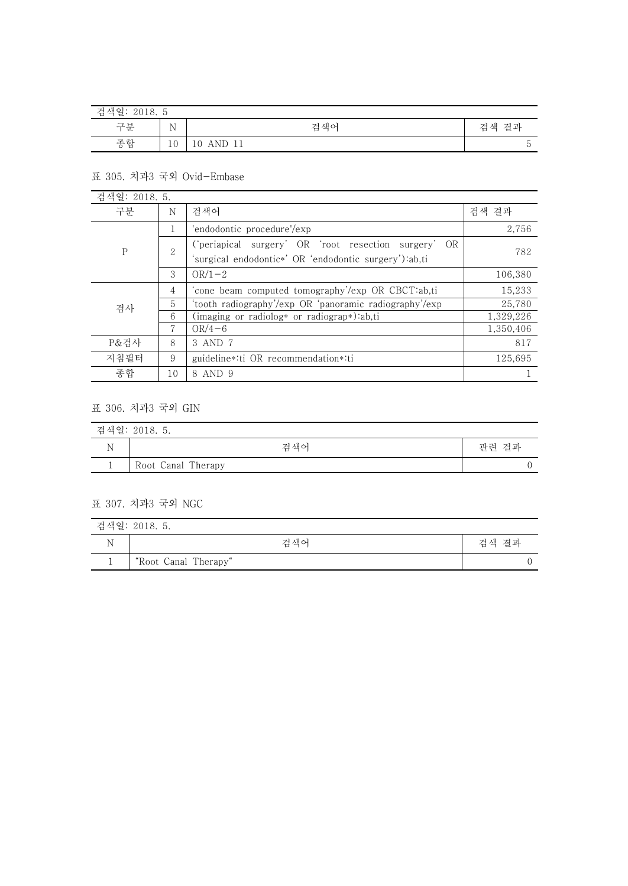| 검색일:<br>2010<br>-<br>ZUI 8. |             |                  |          |
|-----------------------------|-------------|------------------|----------|
| 구분                          | $\mathbf N$ | 검색어              | 결과<br>검색 |
| 종합                          | 10          | AND<br>TT<br>⊥ ∪ | $\cdot$  |

## 표 305. 치과3 국외 Ovid-Embase

| 검색일: 2018. 5. |    |                                                        |           |
|---------------|----|--------------------------------------------------------|-----------|
| 구분            | N  | 검색어                                                    | 검색 결과     |
| $\mathsf{P}$  |    | 'endodontic procedure'/exp                             | 2,756     |
|               | 2  | ('periapical surgery' OR 'root resection surgery' OR   | 782       |
|               |    | 'surgical endodontic*' OR 'endodontic surgery'):ab,ti  |           |
|               | 3  | $OR/1-2$                                               | 106,380   |
| 검사            | 4  | 'cone beam computed tomography'/exp OR CBCT:ab,ti      | 15,233    |
|               | 5  | 'tooth radiography'/exp OR 'panoramic radiography'/exp | 25,780    |
|               | 6  | $(\text{imaging or radiolog* or radiograph}).ab$       | 1,329,226 |
|               | 7  | $OR/4 - 6$                                             | 1,350,406 |
| P&걲사          | 8  | 3 AND 7                                                | 817       |
| 지침필터          | 9  | guideline*:ti OR recommendation*:ti                    | 125,695   |
| 종합            | 10 | 8 AND 9                                                |           |

# 표 306. 치과3 국외 GIN

| 검색일: 2018. 5. |                    |       |  |  |
|---------------|--------------------|-------|--|--|
|               | 검색어                | 관련 결과 |  |  |
|               | Root Canal Therapy |       |  |  |

### 표 307. 치과3 국외 NGC

|          | 검색일: 2018. 5.        |       |
|----------|----------------------|-------|
|          | 검색어                  | 검색 결과 |
| <b>*</b> | "Root Canal Therapy" |       |